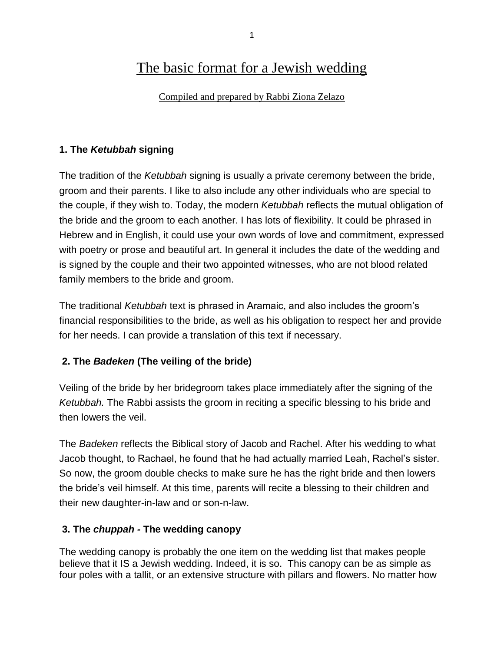# The basic format for a Jewish wedding

Compiled and prepared by Rabbi Ziona Zelazo

#### **1. The** *Ketubbah* **signing**

The tradition of the *Ketubbah* signing is usually a private ceremony between the bride, groom and their parents. I like to also include any other individuals who are special to the couple, if they wish to. Today, the modern *Ketubbah* reflects the mutual obligation of the bride and the groom to each another. I has lots of flexibility. It could be phrased in Hebrew and in English, it could use your own words of love and commitment, expressed with poetry or prose and beautiful art. In general it includes the date of the wedding and is signed by the couple and their two appointed witnesses, who are not blood related family members to the bride and groom.

The traditional *Ketubbah* text is phrased in Aramaic, and also includes the groom's financial responsibilities to the bride, as well as his obligation to respect her and provide for her needs. I can provide a translation of this text if necessary.

#### **2. The** *Badeken* **(The veiling of the bride)**

Veiling of the bride by her bridegroom takes place immediately after the signing of the *Ketubbah.* The Rabbi assists the groom in reciting a specific blessing to his bride and then lowers the veil.

The *Badeken* reflects the Biblical story of Jacob and Rachel. After his wedding to what Jacob thought, to Rachael, he found that he had actually married Leah, Rachel's sister. So now, the groom double checks to make sure he has the right bride and then lowers the bride's veil himself. At this time, parents will recite a blessing to their children and their new daughter-in-law and or son-n-law.

#### **3. The** *chuppah -* **The wedding canopy**

The wedding canopy is probably the one item on the wedding list that makes people believe that it IS a Jewish wedding. Indeed, it is so. This canopy can be as simple as four poles with a tallit, or an extensive structure with pillars and flowers. No matter how